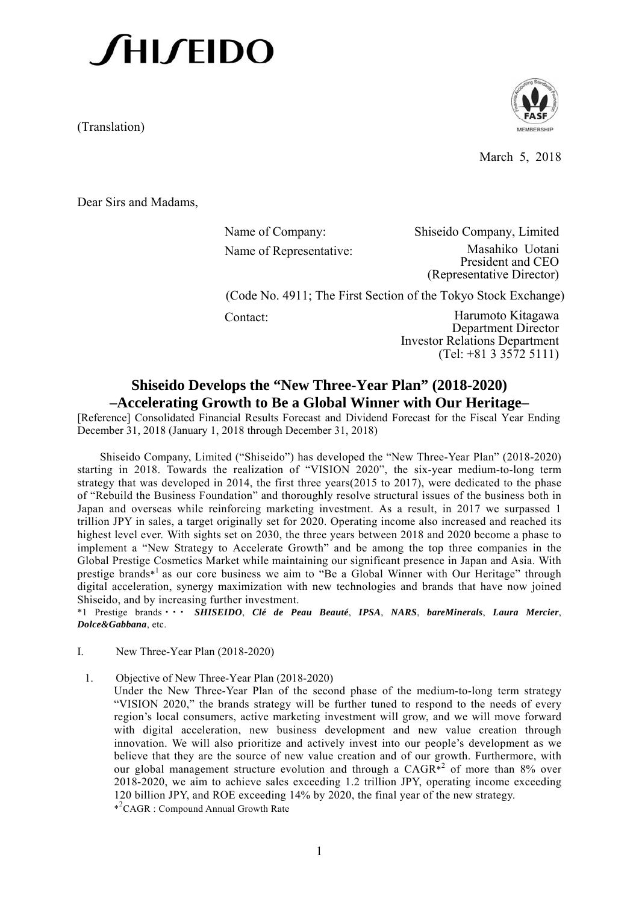(Translation)



March 5, 2018

Dear Sirs and Madams,

Name of Company: Shiseido Company, Limited Name of Representative: Masahiko Uotani President and CEO (Representative Director)

(Code No. 4911; The First Section of the Tokyo Stock Exchange)

Contact: Harumoto Kitagawa Department Director Investor Relations Department (Tel: +81 3 3572 5111)

# **Shiseido Develops the "New Three-Year Plan" (2018-2020) –Accelerating Growth to Be a Global Winner with Our Heritage–**

[Reference] Consolidated Financial Results Forecast and Dividend Forecast for the Fiscal Year Ending December 31, 2018 (January 1, 2018 through December 31, 2018)

Shiseido Company, Limited ("Shiseido") has developed the "New Three-Year Plan" (2018-2020) starting in 2018. Towards the realization of "VISION 2020", the six-year medium-to-long term strategy that was developed in 2014, the first three years(2015 to 2017), were dedicated to the phase of "Rebuild the Business Foundation" and thoroughly resolve structural issues of the business both in Japan and overseas while reinforcing marketing investment. As a result, in 2017 we surpassed 1 trillion JPY in sales, a target originally set for 2020. Operating income also increased and reached its highest level ever. With sights set on 2030, the three years between 2018 and 2020 become a phase to implement a "New Strategy to Accelerate Growth" and be among the top three companies in the Global Prestige Cosmetics Market while maintaining our significant presence in Japan and Asia. With prestige brands\*<sup>1</sup> as our core business we aim to "Be a Global Winner with Our Heritage" through digital acceleration, synergy maximization with new technologies and brands that have now joined Shiseido, and by increasing further investment. \*1 Prestige brands ・・・ *SHISEIDO*, *Clé de Peau Beauté*, *IPSA*, *NARS*, *bareMinerals*, *Laura Mercier*,

*Dolce&Gabbana*, etc.

- I. New Three-Year Plan (2018-2020)
	- 1. Objective of New Three-Year Plan (2018-2020)

Under the New Three-Year Plan of the second phase of the medium-to-long term strategy "VISION 2020," the brands strategy will be further tuned to respond to the needs of every region's local consumers, active marketing investment will grow, and we will move forward with digital acceleration, new business development and new value creation through innovation. We will also prioritize and actively invest into our people's development as we believe that they are the source of new value creation and of our growth. Furthermore, with our global management structure evolution and through a  $CAGR^{*2}$  of more than 8% over 2018-2020, we aim to achieve sales exceeding 1.2 trillion JPY, operating income exceeding 120 billion JPY, and ROE exceeding 14% by 2020, the final year of the new strategy. \*2 CAGR : Compound Annual Growth Rate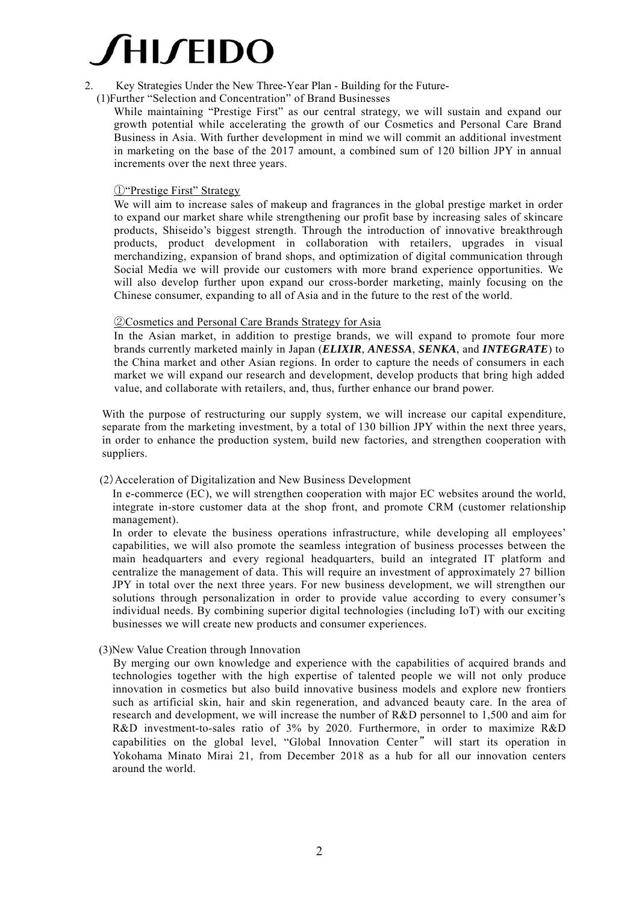

- 2. Key Strategies Under the New Three-Year Plan Building for the Future-
	- (1)Further "Selection and Concentration" of Brand Businesses
		- While maintaining "Prestige First" as our central strategy, we will sustain and expand our growth potential while accelerating the growth of our Cosmetics and Personal Care Brand Business in Asia. With further development in mind we will commit an additional investment in marketing on the base of the 2017 amount, a combined sum of 120 billion JPY in annual increments over the next three years.

### ①"Prestige First" Strategy

We will aim to increase sales of makeup and fragrances in the global prestige market in order to expand our market share while strengthening our profit base by increasing sales of skincare products, Shiseido's biggest strength. Through the introduction of innovative breakthrough products, product development in collaboration with retailers, upgrades in visual merchandizing, expansion of brand shops, and optimization of digital communication through Social Media we will provide our customers with more brand experience opportunities. We will also develop further upon expand our cross-border marketing, mainly focusing on the Chinese consumer, expanding to all of Asia and in the future to the rest of the world.

### ②Cosmetics and Personal Care Brands Strategy for Asia

In the Asian market, in addition to prestige brands, we will expand to promote four more brands currently marketed mainly in Japan (*ELIXIR*, *ANESSA*, *SENKA*, and *INTEGRATE*) to the China market and other Asian regions. In order to capture the needs of consumers in each market we will expand our research and development, develop products that bring high added value, and collaborate with retailers, and, thus, further enhance our brand power.

With the purpose of restructuring our supply system, we will increase our capital expenditure, separate from the marketing investment, by a total of 130 billion JPY within the next three years, in order to enhance the production system, build new factories, and strengthen cooperation with suppliers.

### (2)Acceleration of Digitalization and New Business Development

In e-commerce (EC), we will strengthen cooperation with major EC websites around the world, integrate in-store customer data at the shop front, and promote CRM (customer relationship management).

In order to elevate the business operations infrastructure, while developing all employees' capabilities, we will also promote the seamless integration of business processes between the main headquarters and every regional headquarters, build an integrated IT platform and centralize the management of data. This will require an investment of approximately 27 billion JPY in total over the next three years. For new business development, we will strengthen our solutions through personalization in order to provide value according to every consumer's individual needs. By combining superior digital technologies (including IoT) with our exciting businesses we will create new products and consumer experiences.

(3)New Value Creation through Innovation

By merging our own knowledge and experience with the capabilities of acquired brands and technologies together with the high expertise of talented people we will not only produce innovation in cosmetics but also build innovative business models and explore new frontiers such as artificial skin, hair and skin regeneration, and advanced beauty care. In the area of research and development, we will increase the number of R&D personnel to 1,500 and aim for R&D investment-to-sales ratio of 3% by 2020. Furthermore, in order to maximize R&D capabilities on the global level, "Global Innovation Center " will start its operation in Yokohama Minato Mirai 21, from December 2018 as a hub for all our innovation centers around the world.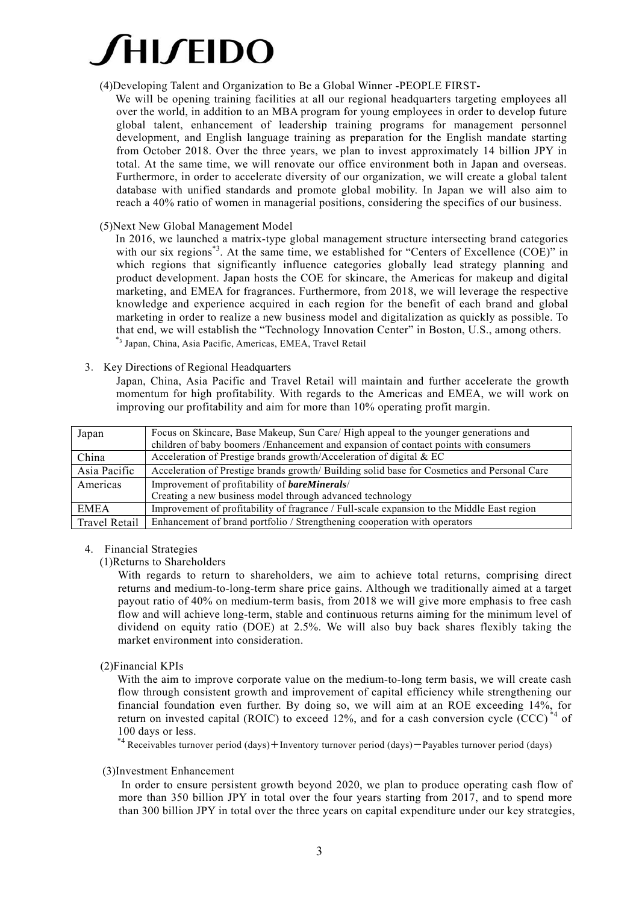### (4)Developing Talent and Organization to Be a Global Winner -PEOPLE FIRST**-**

We will be opening training facilities at all our regional headquarters targeting employees all over the world, in addition to an MBA program for young employees in order to develop future global talent, enhancement of leadership training programs for management personnel development, and English language training as preparation for the English mandate starting from October 2018. Over the three years, we plan to invest approximately 14 billion JPY in total. At the same time, we will renovate our office environment both in Japan and overseas. Furthermore, in order to accelerate diversity of our organization, we will create a global talent database with unified standards and promote global mobility. In Japan we will also aim to reach a 40% ratio of women in managerial positions, considering the specifics of our business.

### (5)Next New Global Management Model

In 2016, we launched a matrix-type global management structure intersecting brand categories with our six regions<sup>\*3</sup>. At the same time, we established for "Centers of Excellence (COE)" in which regions that significantly influence categories globally lead strategy planning and product development. Japan hosts the COE for skincare, the Americas for makeup and digital marketing, and EMEA for fragrances. Furthermore, from 2018, we will leverage the respective knowledge and experience acquired in each region for the benefit of each brand and global marketing in order to realize a new business model and digitalization as quickly as possible. To that end, we will establish the "Technology Innovation Center" in Boston, U.S., among others. \*3 Japan, China, Asia Pacific, Americas, EMEA, Travel Retail

3. Key Directions of Regional Headquarters

Japan, China, Asia Pacific and Travel Retail will maintain and further accelerate the growth momentum for high profitability. With regards to the Americas and EMEA, we will work on improving our profitability and aim for more than 10% operating profit margin.

| Japan         | Focus on Skincare, Base Makeup, Sun Care/High appeal to the younger generations and<br>children of baby boomers / Enhancement and expansion of contact points with consumers |  |  |
|---------------|------------------------------------------------------------------------------------------------------------------------------------------------------------------------------|--|--|
| China         | Acceleration of Prestige brands growth/Acceleration of digital & EC                                                                                                          |  |  |
| Asia Pacific  | Acceleration of Prestige brands growth/Building solid base for Cosmetics and Personal Care                                                                                   |  |  |
| Americas      | Improvement of profitability of <b>bareMinerals</b> /                                                                                                                        |  |  |
|               | Creating a new business model through advanced technology                                                                                                                    |  |  |
| <b>EMEA</b>   | Improvement of profitability of fragrance / Full-scale expansion to the Middle East region                                                                                   |  |  |
| Travel Retail | Enhancement of brand portfolio / Strengthening cooperation with operators                                                                                                    |  |  |

### 4. Financial Strategies

(1)Returns to Shareholders

With regards to return to shareholders, we aim to achieve total returns, comprising direct returns and medium-to-long-term share price gains. Although we traditionally aimed at a target payout ratio of 40% on medium-term basis, from 2018 we will give more emphasis to free cash flow and will achieve long-term, stable and continuous returns aiming for the minimum level of dividend on equity ratio (DOE) at 2.5%. We will also buy back shares flexibly taking the market environment into consideration.

(2)Financial KPIs

With the aim to improve corporate value on the medium-to-long term basis, we will create cash flow through consistent growth and improvement of capital efficiency while strengthening our financial foundation even further. By doing so, we will aim at an ROE exceeding 14%, for return on invested capital (ROIC) to exceed 12%, and for a cash conversion cycle (CCC)<sup>\*4</sup> of 100 days or less.

\*4 Receivables turnover period (days)+Inventory turnover period (days)-Payables turnover period (days)

### (3)Investment Enhancement

In order to ensure persistent growth beyond 2020, we plan to produce operating cash flow of more than 350 billion JPY in total over the four years starting from 2017, and to spend more than 300 billion JPY in total over the three years on capital expenditure under our key strategies,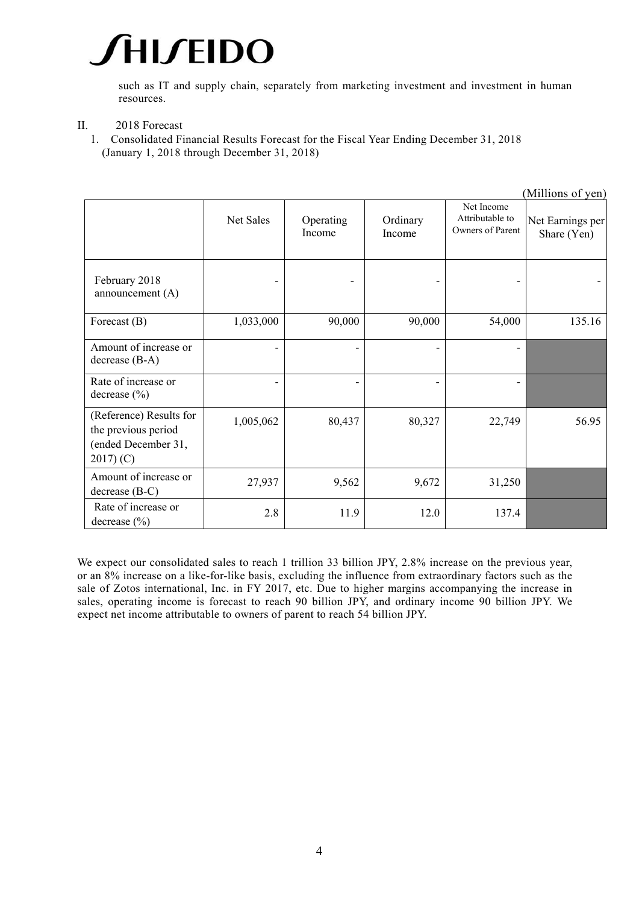such as IT and supply chain, separately from marketing investment and investment in human resources.

- II. 2018 Forecast
	- 1. Consolidated Financial Results Forecast for the Fiscal Year Ending December 31, 2018 (January 1, 2018 through December 31, 2018)

|                                                                                    |           |                     |                    |                                                   | (Millions of yen)               |
|------------------------------------------------------------------------------------|-----------|---------------------|--------------------|---------------------------------------------------|---------------------------------|
|                                                                                    | Net Sales | Operating<br>Income | Ordinary<br>Income | Net Income<br>Attributable to<br>Owners of Parent | Net Earnings per<br>Share (Yen) |
| February 2018<br>announcement $(A)$                                                |           |                     |                    |                                                   |                                 |
| Forecast (B)                                                                       | 1,033,000 | 90,000              | 90,000             | 54,000                                            | 135.16                          |
| Amount of increase or<br>$decrease (B-A)$                                          |           |                     | ۰                  | Ξ.                                                |                                 |
| Rate of increase or<br>decrease $(\% )$                                            | ۰         | $\overline{a}$      | ٠                  | ۰                                                 |                                 |
| (Reference) Results for<br>the previous period<br>(ended December 31,<br>2017) (C) | 1,005,062 | 80,437              | 80,327             | 22,749                                            | 56.95                           |
| Amount of increase or<br>$decrease (B-C)$                                          | 27,937    | 9,562               | 9,672              | 31,250                                            |                                 |
| Rate of increase or<br>decrease $(\% )$                                            | 2.8       | 11.9                | 12.0               | 137.4                                             |                                 |

We expect our consolidated sales to reach 1 trillion 33 billion JPY, 2.8% increase on the previous year, or an 8% increase on a like-for-like basis, excluding the influence from extraordinary factors such as the sale of Zotos international, Inc. in FY 2017, etc. Due to higher margins accompanying the increase in sales, operating income is forecast to reach 90 billion JPY, and ordinary income 90 billion JPY. We expect net income attributable to owners of parent to reach 54 billion JPY.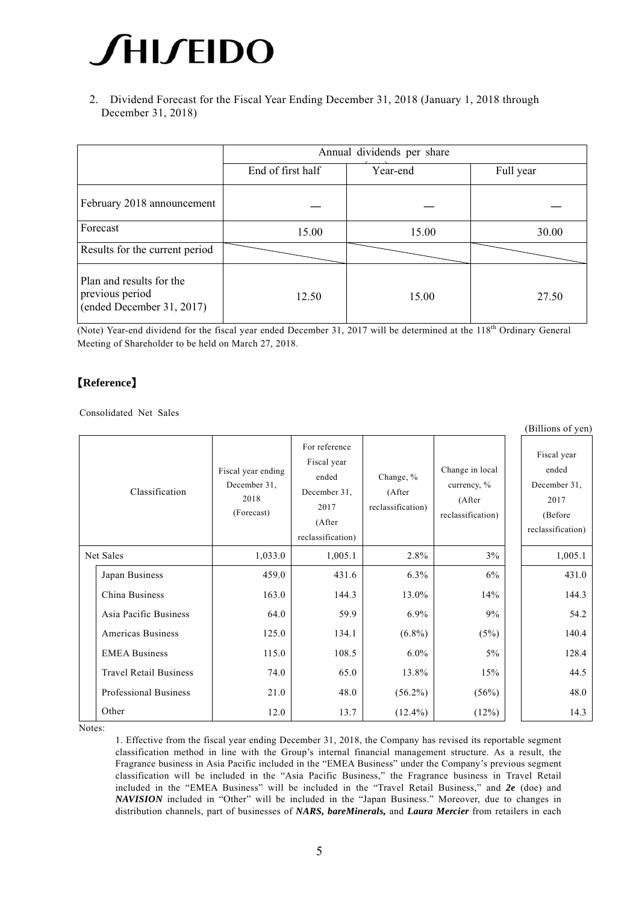2. Dividend Forecast for the Fiscal Year Ending December 31, 2018 (January 1, 2018 through December 31, 2018)

|                                                                          | Annual dividends per share |          |           |  |  |
|--------------------------------------------------------------------------|----------------------------|----------|-----------|--|--|
|                                                                          | End of first half          | Year-end | Full year |  |  |
| February 2018 announcement                                               |                            |          |           |  |  |
| Forecast                                                                 | 15.00                      | 15.00    | 30.00     |  |  |
| Results for the current period                                           |                            |          |           |  |  |
| Plan and results for the<br>previous period<br>(ended December 31, 2017) | 12.50                      | 15.00    | 27.50     |  |  |

(Note) Year-end dividend for the fiscal year ended December 31, 2017 will be determined at the 118<sup>th</sup> Ordinary General Meeting of Shareholder to be held on March 27, 2018.

# 【**Reference**】

Consolidated Net Sales

|                |                               |                                                          |                                                                                              |                                          |                                                               | (Billions of yen)                                                            |
|----------------|-------------------------------|----------------------------------------------------------|----------------------------------------------------------------------------------------------|------------------------------------------|---------------------------------------------------------------|------------------------------------------------------------------------------|
| Classification |                               | Fiscal year ending<br>December 31,<br>2018<br>(Forecast) | For reference<br>Fiscal year<br>ended<br>December 31,<br>2017<br>(After<br>reclassification) | Change, %<br>(After<br>reclassification) | Change in local<br>currency, %<br>(After<br>reclassification) | Fiscal year<br>ended<br>December 31,<br>2017<br>(Before<br>reclassification) |
| Net Sales      |                               | 1,033.0                                                  | 1,005.1                                                                                      | 2.8%                                     | 3%                                                            | 1,005.1                                                                      |
|                | Japan Business                | 459.0                                                    | 431.6                                                                                        | 6.3%                                     | 6%                                                            | 431.0                                                                        |
|                | China Business                | 163.0                                                    | 144.3                                                                                        | 13.0%                                    | 14%                                                           | 144.3                                                                        |
|                | Asia Pacific Business         | 64.0                                                     | 59.9                                                                                         | $6.9\%$                                  | 9%                                                            | 54.2                                                                         |
|                | Americas Business             | 125.0                                                    | 134.1                                                                                        | $(6.8\%)$                                | (5%)                                                          | 140.4                                                                        |
|                | <b>EMEA Business</b>          | 115.0                                                    | 108.5                                                                                        | $6.0\%$                                  | 5%                                                            | 128.4                                                                        |
|                | <b>Travel Retail Business</b> | 74.0                                                     | 65.0                                                                                         | 13.8%                                    | 15%                                                           | 44.5                                                                         |
|                | Professional Business         | 21.0                                                     | 48.0                                                                                         | $(56.2\%)$                               | (56%)                                                         | 48.0                                                                         |
|                | Other                         | 12.0                                                     | 13.7                                                                                         | $(12.4\%)$                               | (12%)                                                         | 14.3                                                                         |

Notes:

1. Effective from the fiscal year ending December 31, 2018, the Company has revised its reportable segment classification method in line with the Group's internal financial management structure. As a result, the Fragrance business in Asia Pacific included in the "EMEA Business" under the Company's previous segment classification will be included in the "Asia Pacific Business," the Fragrance business in Travel Retail included in the "EMEA Business" will be included in the "Travel Retail Business," and *2e* (doe) and *NAVISION* included in "Other" will be included in the "Japan Business." Moreover, due to changes in distribution channels, part of businesses of *NARS, bareMinerals,* and *Laura Mercier* from retailers in each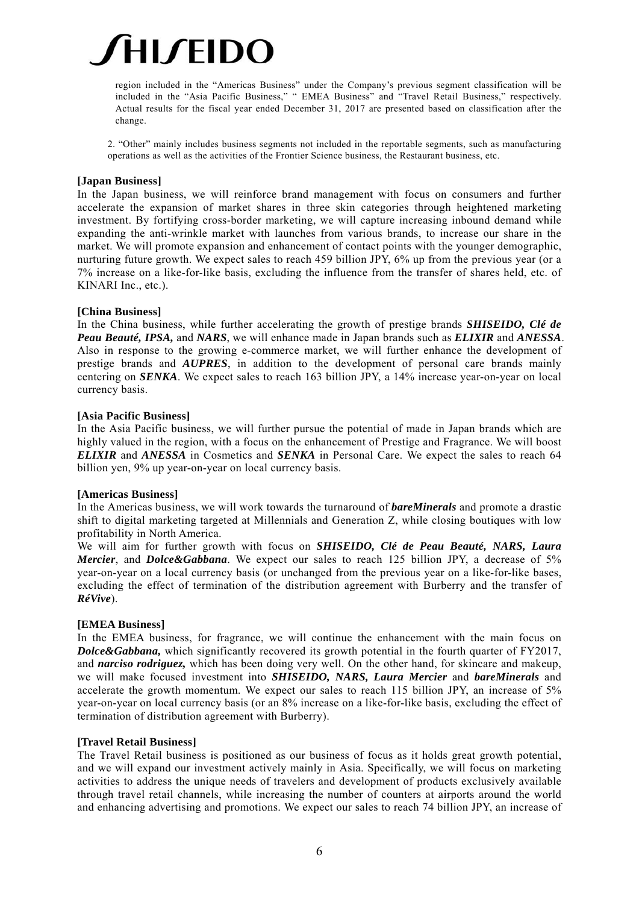

region included in the "Americas Business" under the Company's previous segment classification will be included in the "Asia Pacific Business," " EMEA Business" and "Travel Retail Business," respectively. Actual results for the fiscal year ended December 31, 2017 are presented based on classification after the change.

2. "Other" mainly includes business segments not included in the reportable segments, such as manufacturing operations as well as the activities of the Frontier Science business, the Restaurant business, etc.

#### **[Japan Business]**

In the Japan business, we will reinforce brand management with focus on consumers and further accelerate the expansion of market shares in three skin categories through heightened marketing investment. By fortifying cross-border marketing, we will capture increasing inbound demand while expanding the anti-wrinkle market with launches from various brands, to increase our share in the market. We will promote expansion and enhancement of contact points with the younger demographic, nurturing future growth. We expect sales to reach 459 billion JPY, 6% up from the previous year (or a 7% increase on a like-for-like basis, excluding the influence from the transfer of shares held, etc. of KINARI Inc., etc.).

#### **[China Business]**

In the China business, while further accelerating the growth of prestige brands *SHISEIDO, Clé de Peau Beauté, IPSA,* and *NARS*, we will enhance made in Japan brands such as *ELIXIR* and *ANESSA*. Also in response to the growing e-commerce market, we will further enhance the development of prestige brands and *AUPRES*, in addition to the development of personal care brands mainly centering on *SENKA*. We expect sales to reach 163 billion JPY, a 14% increase year-on-year on local currency basis.

#### **[Asia Pacific Business]**

In the Asia Pacific business, we will further pursue the potential of made in Japan brands which are highly valued in the region, with a focus on the enhancement of Prestige and Fragrance. We will boost *ELIXIR* and *ANESSA* in Cosmetics and *SENKA* in Personal Care. We expect the sales to reach 64 billion yen, 9% up year-on-year on local currency basis.

#### **[Americas Business]**

In the Americas business, we will work towards the turnaround of *bareMinerals* and promote a drastic shift to digital marketing targeted at Millennials and Generation Z, while closing boutiques with low profitability in North America.

We will aim for further growth with focus on *SHISEIDO, Clé de Peau Beauté, NARS, Laura Mercier*, and *Dolce&Gabbana*. We expect our sales to reach 125 billion JPY, a decrease of 5% year-on-year on a local currency basis (or unchanged from the previous year on a like-for-like bases, excluding the effect of termination of the distribution agreement with Burberry and the transfer of *RéVive*).

#### **[EMEA Business]**

In the EMEA business, for fragrance, we will continue the enhancement with the main focus on **Dolce&Gabbana,** which significantly recovered its growth potential in the fourth quarter of FY2017, and *narciso rodriguez,* which has been doing very well. On the other hand, for skincare and makeup, we will make focused investment into *SHISEIDO, NARS, Laura Mercier* and *bareMinerals* and accelerate the growth momentum. We expect our sales to reach 115 billion JPY, an increase of 5% year-on-year on local currency basis (or an 8% increase on a like-for-like basis, excluding the effect of termination of distribution agreement with Burberry).

### **[Travel Retail Business]**

The Travel Retail business is positioned as our business of focus as it holds great growth potential, and we will expand our investment actively mainly in Asia. Specifically, we will focus on marketing activities to address the unique needs of travelers and development of products exclusively available through travel retail channels, while increasing the number of counters at airports around the world and enhancing advertising and promotions. We expect our sales to reach 74 billion JPY, an increase of